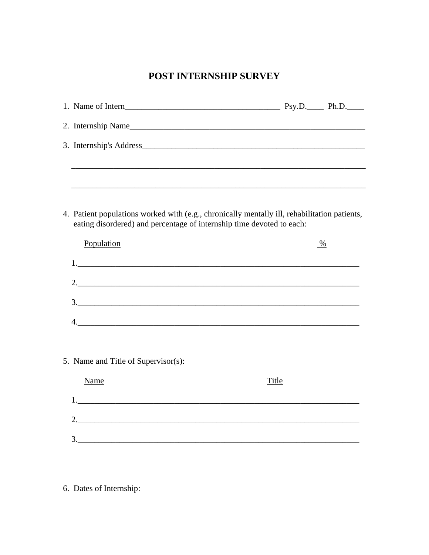## POST INTERNSHIP SURVEY

| eating disordered) and percentage of internship time devoted to each: | 4. Patient populations worked with (e.g., chronically mentally ill, rehabilitation patients, |
|-----------------------------------------------------------------------|----------------------------------------------------------------------------------------------|
| Population                                                            | $\frac{0}{2}$                                                                                |
|                                                                       |                                                                                              |
|                                                                       | 2.                                                                                           |
|                                                                       | $\frac{3}{2}$                                                                                |
|                                                                       |                                                                                              |
|                                                                       |                                                                                              |
| 5. Name and Title of Supervisor(s):                                   |                                                                                              |
| <b>Name</b>                                                           | <b>Title</b>                                                                                 |
|                                                                       |                                                                                              |
|                                                                       |                                                                                              |
|                                                                       |                                                                                              |

6. Dates of Internship: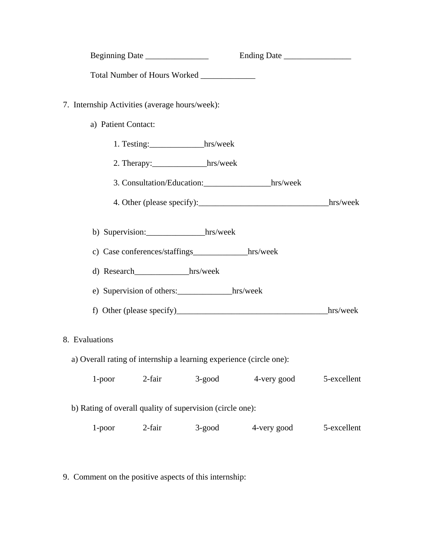|                                                |                      |                                                                     | Ending Date                         |             |
|------------------------------------------------|----------------------|---------------------------------------------------------------------|-------------------------------------|-------------|
|                                                |                      | Total Number of Hours Worked ____________                           |                                     |             |
| 7. Internship Activities (average hours/week): |                      |                                                                     |                                     |             |
| a) Patient Contact:                            |                      |                                                                     |                                     |             |
|                                                |                      | 1. Testing:_____________hrs/week                                    |                                     |             |
|                                                |                      | 2. Therapy:______________hrs/week                                   |                                     |             |
|                                                |                      |                                                                     | 3. Consultation/Education: hrs/week |             |
|                                                |                      |                                                                     |                                     |             |
|                                                |                      | b) Supervision: hrs/week                                            |                                     |             |
|                                                |                      | c) Case conferences/staffings_____________hrs/week                  |                                     |             |
|                                                | d) Research hrs/week |                                                                     |                                     |             |
|                                                |                      | e) Supervision of others: hrs/week                                  |                                     |             |
|                                                |                      |                                                                     |                                     |             |
| 8. Evaluations                                 |                      |                                                                     |                                     |             |
|                                                |                      | a) Overall rating of internship a learning experience (circle one): |                                     |             |
| $1$ -poor                                      | 2-fair               | $3$ -good                                                           | 4-very good                         | 5-excellent |
|                                                |                      | b) Rating of overall quality of supervision (circle one):           |                                     |             |
| $1$ -poor                                      | 2-fair               | $3$ -good                                                           | 4-very good                         | 5-excellent |
|                                                |                      |                                                                     |                                     |             |

9. Comment on the positive aspects of this internship: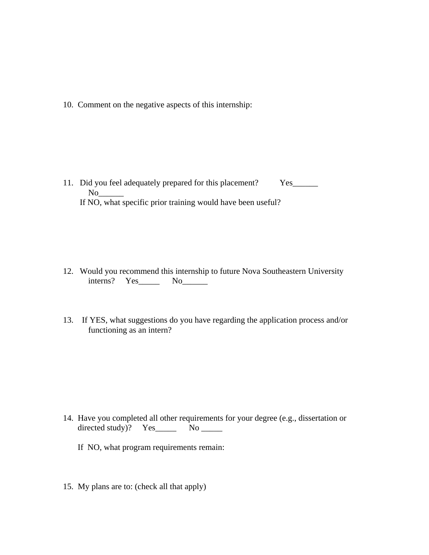10. Comment on the negative aspects of this internship:

11. Did you feel adequately prepared for this placement? Yes  $No$ If NO, what specific prior training would have been useful?

- 12. Would you recommend this internship to future Nova Southeastern University interns? Yes\_\_\_\_\_\_\_ No\_\_\_\_\_\_\_
- 13. If YES, what suggestions do you have regarding the application process and/or functioning as an intern?

- 14. Have you completed all other requirements for your degree (e.g., dissertation or directed study)?  $Yes$  No \_\_\_\_\_
	- If NO, what program requirements remain:
- 15. My plans are to: (check all that apply)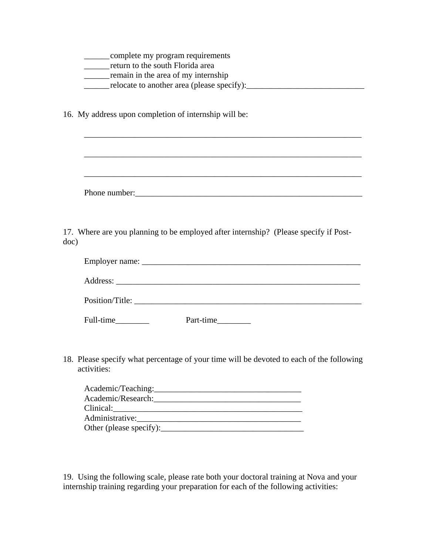| complete my program requirements<br>return to the south Florida area<br>remain in the area of my internship                                                           |
|-----------------------------------------------------------------------------------------------------------------------------------------------------------------------|
| 16. My address upon completion of internship will be:                                                                                                                 |
| ,我们也不能在这里的时候,我们也不能在这里的时候,我们也不能在这里的时候,我们也不能会在这里的时候,我们也不能会在这里的时候,我们也不能会在这里的时候,我们也不<br>,我们也不能在这里的人,我们也不能在这里的人,我们也不能在这里的人,我们也不能在这里的人,我们也不能在这里的人,我们也不能在这里的人,我们也不能在这里的人,我们也 |
|                                                                                                                                                                       |
| 17. Where are you planning to be employed after internship? (Please specify if Post-<br>doc)                                                                          |
|                                                                                                                                                                       |
|                                                                                                                                                                       |
|                                                                                                                                                                       |
| Part-time                                                                                                                                                             |
| 18. Please specify what percentage of your time will be devoted to each of the following<br>activities:                                                               |
| Clinical:                                                                                                                                                             |
|                                                                                                                                                                       |

19. Using the following scale, please rate both your doctoral training at Nova and your internship training regarding your preparation for each of the following activities: